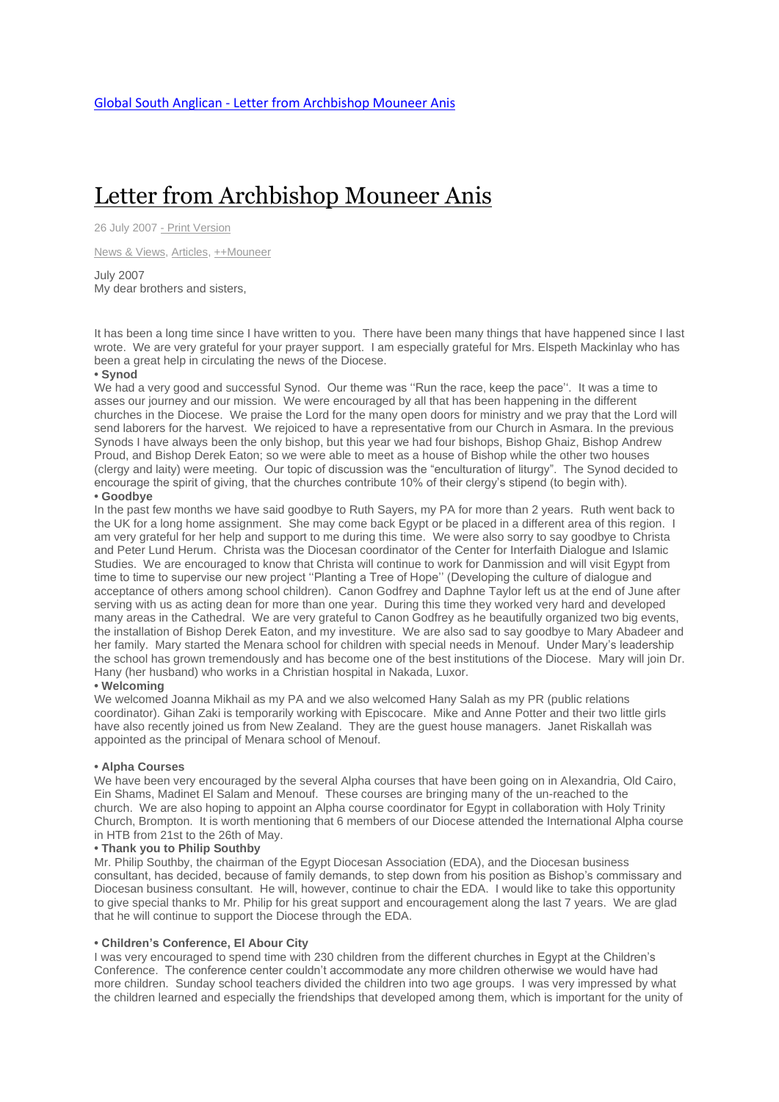# Letter from [Archbishop](http://www.globalsouthanglican.org/index.php/blog/comments/letter_from_archbishop_mouneer_anis) Mouneer Anis

26 July 2007 - Print [Version](http://globalsouthanglican.org/index.php/blog/printing/letter_from_archbishop_mouneer_anis)

News & [Views,](http://globalsouthanglican.org/index.php/archives/category/news_views) [Articles,](http://globalsouthanglican.org/index.php/archives/category/articles) [++Mouneer](http://globalsouthanglican.org/index.php/archives/category/mouneer)

July 2007 My dear brothers and sisters,

It has been a long time since I have written to you. There have been many things that have happened since I last wrote. We are very grateful for your prayer support. I am especially grateful for Mrs. Elspeth Mackinlay who has been a great help in circulating the news of the Diocese.

#### **• Synod**

We had a very good and successful Synod. Our theme was "Run the race, keep the pace". It was a time to asses our journey and our mission. We were encouraged by all that has been happening in the different churches in the Diocese. We praise the Lord for the many open doors for ministry and we pray that the Lord will send laborers for the harvest. We rejoiced to have a representative from our Church in Asmara. In the previous Synods I have always been the only bishop, but this year we had four bishops, Bishop Ghaiz, Bishop Andrew Proud, and Bishop Derek Eaton; so we were able to meet as a house of Bishop while the other two houses (clergy and laity) were meeting. Our topic of discussion was the "enculturation of liturgy". The Synod decided to encourage the spirit of giving, that the churches contribute 10% of their clergy's stipend (to begin with).

#### **• Goodbye**

In the past few months we have said goodbye to Ruth Sayers, my PA for more than 2 years. Ruth went back to the UK for a long home assignment. She may come back Egypt or be placed in a different area of this region. I am very grateful for her help and support to me during this time. We were also sorry to say goodbye to Christa and Peter Lund Herum. Christa was the Diocesan coordinator of the Center for Interfaith Dialogue and Islamic Studies. We are encouraged to know that Christa will continue to work for Danmission and will visit Egypt from time to time to supervise our new project ''Planting a Tree of Hope'' (Developing the culture of dialogue and acceptance of others among school children). Canon Godfrey and Daphne Taylor left us at the end of June after serving with us as acting dean for more than one year. During this time they worked very hard and developed many areas in the Cathedral. We are very grateful to Canon Godfrey as he beautifully organized two big events, the installation of Bishop Derek Eaton, and my investiture. We are also sad to say goodbye to Mary Abadeer and her family. Mary started the Menara school for children with special needs in Menouf. Under Mary's leadership the school has grown tremendously and has become one of the best institutions of the Diocese. Mary will join Dr. Hany (her husband) who works in a Christian hospital in Nakada, Luxor.

# **• Welcoming**

We welcomed Joanna Mikhail as my PA and we also welcomed Hany Salah as my PR (public relations coordinator). Gihan Zaki is temporarily working with Episcocare. Mike and Anne Potter and their two little girls have also recently joined us from New Zealand. They are the quest house managers. Janet Riskallah was appointed as the principal of Menara school of Menouf.

#### **• Alpha Courses**

We have been very encouraged by the several Alpha courses that have been going on in Alexandria, Old Cairo, Ein Shams, Madinet El Salam and Menouf. These courses are bringing many of the un-reached to the church. We are also hoping to appoint an Alpha course coordinator for Egypt in collaboration with Holy Trinity Church, Brompton. It is worth mentioning that 6 members of our Diocese attended the International Alpha course in HTB from 21st to the 26th of May.

#### **• Thank you to Philip Southby**

Mr. Philip Southby, the chairman of the Egypt Diocesan Association (EDA), and the Diocesan business consultant, has decided, because of family demands, to step down from his position as Bishop's commissary and Diocesan business consultant. He will, however, continue to chair the EDA. I would like to take this opportunity to give special thanks to Mr. Philip for his great support and encouragement along the last 7 years. We are glad that he will continue to support the Diocese through the EDA.

#### **• Children's Conference, El Abour City**

I was very encouraged to spend time with 230 children from the different churches in Egypt at the Children's Conference. The conference center couldn't accommodate any more children otherwise we would have had more children. Sunday school teachers divided the children into two age groups. I was very impressed by what the children learned and especially the friendships that developed among them, which is important for the unity of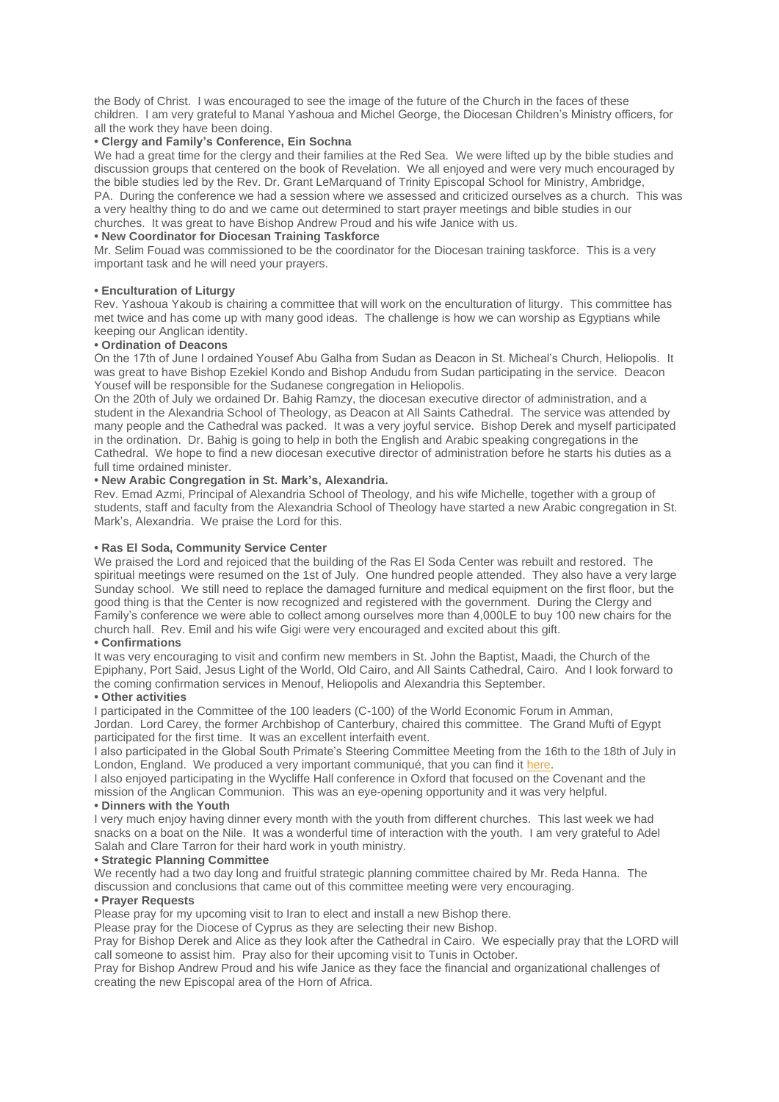the Body of Christ. I was encouraged to see the image of the future of the Church in the faces of these children. I am very grateful to Manal Yashoua and Michel George, the Diocesan Children's Ministry officers, for all the work they have been doing.

### **• Clergy and Family's Conference, Ein Sochna**

We had a great time for the clergy and their families at the Red Sea. We were lifted up by the bible studies and discussion groups that centered on the book of Revelation. We all enjoyed and were very much encouraged by the bible studies led by the Rev. Dr. Grant LeMarquand of Trinity Episcopal School for Ministry, Ambridge, PA. During the conference we had a session where we assessed and criticized ourselves as a church. This was a very healthy thing to do and we came out determined to start prayer meetings and bible studies in our churches. It was great to have Bishop Andrew Proud and his wife Janice with us.

# **• New Coordinator for Diocesan Training Taskforce**

Mr. Selim Fouad was commissioned to be the coordinator for the Diocesan training taskforce. This is a very important task and he will need your prayers.

#### **• Enculturation of Liturgy**

Rev. Yashoua Yakoub is chairing a committee that will work on the enculturation of liturgy. This committee has met twice and has come up with many good ideas. The challenge is how we can worship as Egyptians while keeping our Anglican identity.

#### **• Ordination of Deacons**

On the 17th of June I ordained Yousef Abu Galha from Sudan as Deacon in St. Micheal's Church, Heliopolis. It was great to have Bishop Ezekiel Kondo and Bishop Andudu from Sudan participating in the service. Deacon Yousef will be responsible for the Sudanese congregation in Heliopolis.

On the 20th of July we ordained Dr. Bahig Ramzy, the diocesan executive director of administration, and a student in the Alexandria School of Theology, as Deacon at All Saints Cathedral. The service was attended by many people and the Cathedral was packed. It was a very joyful service. Bishop Derek and myself participated in the ordination. Dr. Bahig is going to help in both the English and Arabic speaking congregations in the Cathedral. We hope to find a new diocesan executive director of administration before he starts his duties as a full time ordained minister.

### **• New Arabic Congregation in St. Mark's, Alexandria.**

Rev. Emad Azmi, Principal of Alexandria School of Theology, and his wife Michelle, together with a group of students, staff and faculty from the Alexandria School of Theology have started a new Arabic congregation in St. Mark's, Alexandria. We praise the Lord for this.

## **• Ras El Soda, Community Service Center**

We praised the Lord and rejoiced that the building of the Ras El Soda Center was rebuilt and restored. The spiritual meetings were resumed on the 1st of July. One hundred people attended. They also have a very large Sunday school. We still need to replace the damaged furniture and medical equipment on the first floor, but the good thing is that the Center is now recognized and registered with the government. During the Clergy and Family's conference we were able to collect among ourselves more than 4,000LE to buy 100 new chairs for the church hall. Rev. Emil and his wife Gigi were very encouraged and excited about this gift.

# **• Confirmations**

It was very encouraging to visit and confirm new members in St. John the Baptist, Maadi, the Church of the Epiphany, Port Said, Jesus Light of the World, Old Cairo, and All Saints Cathedral, Cairo. And I look forward to the coming confirmation services in Menouf, Heliopolis and Alexandria this September.

#### **• Other activities**

I participated in the Committee of the 100 leaders (C-100) of the World Economic Forum in Amman, Jordan. Lord Carey, the former Archbishop of Canterbury, chaired this committee. The Grand Mufti of Egypt participated for the first time. It was an excellent interfaith event.

I also participated in the Global South Primate's Steering Committee Meeting from the 16th to the 18th of July in London, England. We produced a very important communiqué, that you can find it [here.](http://www.globalsouthanglican.org/index.php/comments/this_is_a_critical_time_a_statement_from_the_global_south_steering_committe)

I also enjoyed participating in the Wycliffe Hall conference in Oxford that focused on the Covenant and the mission of the Anglican Communion. This was an eye-opening opportunity and it was very helpful. **• Dinners with the Youth**

I very much enjoy having dinner every month with the youth from different churches. This last week we had snacks on a boat on the Nile. It was a wonderful time of interaction with the youth. I am very grateful to Adel Salah and Clare Tarron for their hard work in youth ministry.

#### **• Strategic Planning Committee**

We recently had a two day long and fruitful strategic planning committee chaired by Mr. Reda Hanna. The discussion and conclusions that came out of this committee meeting were very encouraging.

# **• Prayer Requests**

Please pray for my upcoming visit to Iran to elect and install a new Bishop there.

Please pray for the Diocese of Cyprus as they are selecting their new Bishop.

Pray for Bishop Derek and Alice as they look after the Cathedral in Cairo. We especially pray that the LORD will call someone to assist him. Pray also for their upcoming visit to Tunis in October.

Pray for Bishop Andrew Proud and his wife Janice as they face the financial and organizational challenges of creating the new Episcopal area of the Horn of Africa.